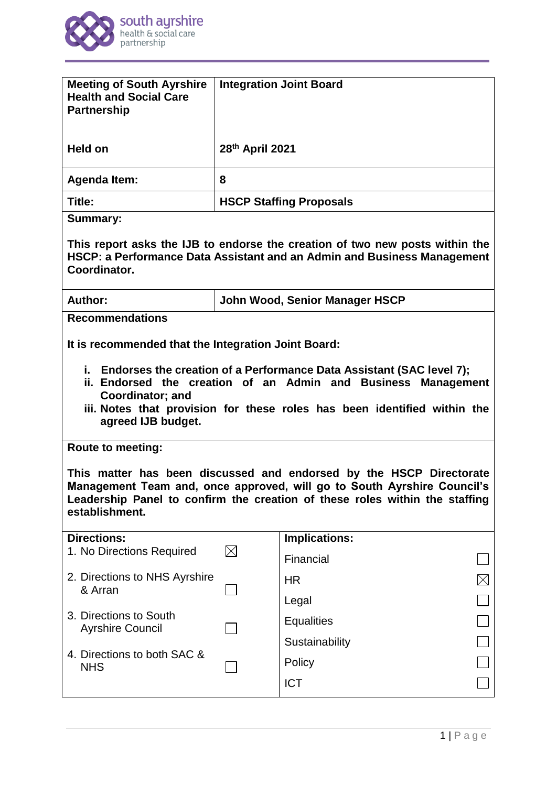

| <b>Meeting of South Ayrshire</b><br><b>Health and Social Care</b><br><b>Partnership</b>                                                                                                                                                                                                                                      |                 | <b>Integration Joint Board</b> |  |  |
|------------------------------------------------------------------------------------------------------------------------------------------------------------------------------------------------------------------------------------------------------------------------------------------------------------------------------|-----------------|--------------------------------|--|--|
| Held on                                                                                                                                                                                                                                                                                                                      | 28th April 2021 |                                |  |  |
| <b>Agenda Item:</b>                                                                                                                                                                                                                                                                                                          | 8               |                                |  |  |
| Title:                                                                                                                                                                                                                                                                                                                       |                 | <b>HSCP Staffing Proposals</b> |  |  |
| <b>Summary:</b>                                                                                                                                                                                                                                                                                                              |                 |                                |  |  |
| This report asks the IJB to endorse the creation of two new posts within the<br>HSCP: a Performance Data Assistant and an Admin and Business Management<br>Coordinator.                                                                                                                                                      |                 |                                |  |  |
| Author:                                                                                                                                                                                                                                                                                                                      |                 | John Wood, Senior Manager HSCP |  |  |
| <b>Recommendations</b>                                                                                                                                                                                                                                                                                                       |                 |                                |  |  |
| It is recommended that the Integration Joint Board:<br>i. Endorses the creation of a Performance Data Assistant (SAC level 7);<br>ii. Endorsed the creation of an Admin and Business Management<br><b>Coordinator; and</b><br>iii. Notes that provision for these roles has been identified within the<br>agreed IJB budget. |                 |                                |  |  |
| <b>Route to meeting:</b><br>This matter has been discussed and endorsed by the HSCP Directorate<br>Management Team and, once approved, will go to South Ayrshire Council's<br>Leadership Panel to confirm the creation of these roles within the staffing<br>establishment.                                                  |                 |                                |  |  |
| <b>Directions:</b><br>1. No Directions Required                                                                                                                                                                                                                                                                              | $\boxtimes$     | Implications:                  |  |  |
|                                                                                                                                                                                                                                                                                                                              |                 | Financial                      |  |  |
| 2. Directions to NHS Ayrshire<br>& Arran                                                                                                                                                                                                                                                                                     |                 | <b>HR</b>                      |  |  |
|                                                                                                                                                                                                                                                                                                                              |                 | Legal                          |  |  |
| 3. Directions to South<br><b>Ayrshire Council</b>                                                                                                                                                                                                                                                                            |                 | <b>Equalities</b>              |  |  |
|                                                                                                                                                                                                                                                                                                                              |                 | Sustainability                 |  |  |
| 4. Directions to both SAC &<br><b>NHS</b>                                                                                                                                                                                                                                                                                    |                 | Policy                         |  |  |
|                                                                                                                                                                                                                                                                                                                              |                 |                                |  |  |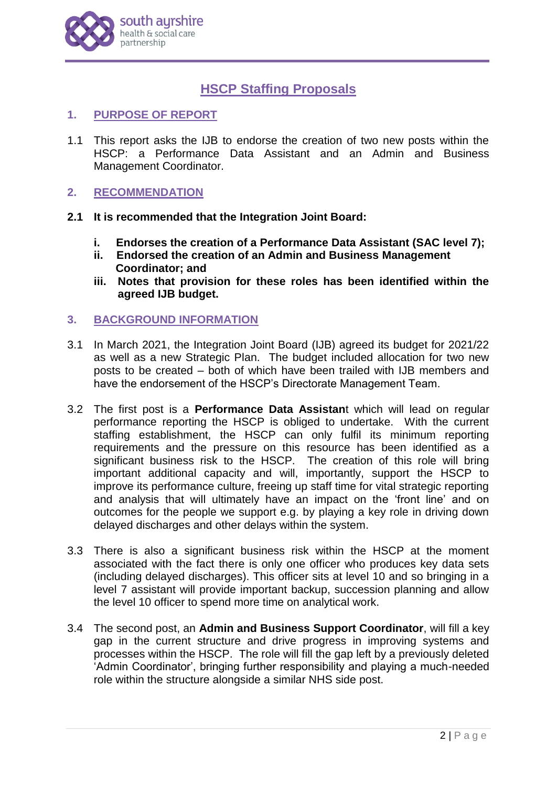

# **HSCP Staffing Proposals**

## **1. PURPOSE OF REPORT**

1.1 This report asks the IJB to endorse the creation of two new posts within the HSCP: a Performance Data Assistant and an Admin and Business Management Coordinator.

## **2. RECOMMENDATION**

- **2.1 It is recommended that the Integration Joint Board:**
	- **i. Endorses the creation of a Performance Data Assistant (SAC level 7);**
	- **ii. Endorsed the creation of an Admin and Business Management Coordinator; and**
	- **iii. Notes that provision for these roles has been identified within the agreed IJB budget.**

### **3. BACKGROUND INFORMATION**

- 3.1 In March 2021, the Integration Joint Board (IJB) agreed its budget for 2021/22 as well as a new Strategic Plan. The budget included allocation for two new posts to be created – both of which have been trailed with IJB members and have the endorsement of the HSCP's Directorate Management Team.
- 3.2 The first post is a **Performance Data Assistan**t which will lead on regular performance reporting the HSCP is obliged to undertake. With the current staffing establishment, the HSCP can only fulfil its minimum reporting requirements and the pressure on this resource has been identified as a significant business risk to the HSCP. The creation of this role will bring important additional capacity and will, importantly, support the HSCP to improve its performance culture, freeing up staff time for vital strategic reporting and analysis that will ultimately have an impact on the 'front line' and on outcomes for the people we support e.g. by playing a key role in driving down delayed discharges and other delays within the system.
- 3.3 There is also a significant business risk within the HSCP at the moment associated with the fact there is only one officer who produces key data sets (including delayed discharges). This officer sits at level 10 and so bringing in a level 7 assistant will provide important backup, succession planning and allow the level 10 officer to spend more time on analytical work.
- 3.4 The second post, an **Admin and Business Support Coordinator**, will fill a key gap in the current structure and drive progress in improving systems and processes within the HSCP. The role will fill the gap left by a previously deleted 'Admin Coordinator', bringing further responsibility and playing a much-needed role within the structure alongside a similar NHS side post.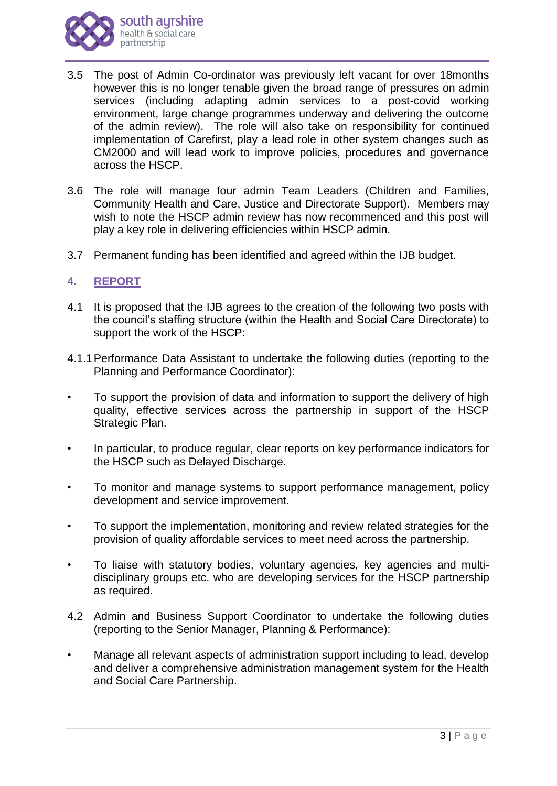

- 3.5 The post of Admin Co-ordinator was previously left vacant for over 18months however this is no longer tenable given the broad range of pressures on admin services (including adapting admin services to a post-covid working environment, large change programmes underway and delivering the outcome of the admin review). The role will also take on responsibility for continued implementation of Carefirst, play a lead role in other system changes such as CM2000 and will lead work to improve policies, procedures and governance across the HSCP.
- 3.6 The role will manage four admin Team Leaders (Children and Families, Community Health and Care, Justice and Directorate Support). Members may wish to note the HSCP admin review has now recommenced and this post will play a key role in delivering efficiencies within HSCP admin.
- 3.7 Permanent funding has been identified and agreed within the IJB budget.

### **4. REPORT**

- 4.1 It is proposed that the IJB agrees to the creation of the following two posts with the council's staffing structure (within the Health and Social Care Directorate) to support the work of the HSCP:
- 4.1.1Performance Data Assistant to undertake the following duties (reporting to the Planning and Performance Coordinator):
- To support the provision of data and information to support the delivery of high quality, effective services across the partnership in support of the HSCP Strategic Plan.
- In particular, to produce regular, clear reports on key performance indicators for the HSCP such as Delayed Discharge.
- To monitor and manage systems to support performance management, policy development and service improvement.
- To support the implementation, monitoring and review related strategies for the provision of quality affordable services to meet need across the partnership.
- To liaise with statutory bodies, voluntary agencies, key agencies and multidisciplinary groups etc. who are developing services for the HSCP partnership as required.
- 4.2 Admin and Business Support Coordinator to undertake the following duties (reporting to the Senior Manager, Planning & Performance):
- Manage all relevant aspects of administration support including to lead, develop and deliver a comprehensive administration management system for the Health and Social Care Partnership.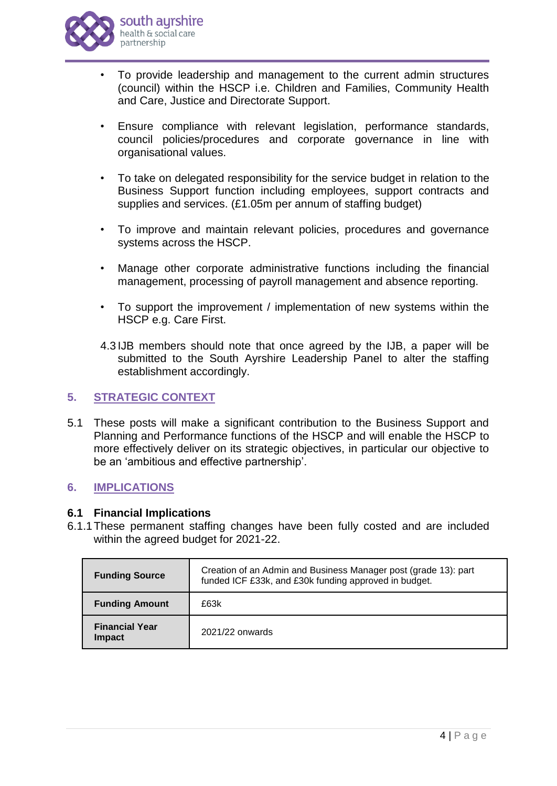

- To provide leadership and management to the current admin structures (council) within the HSCP i.e. Children and Families, Community Health and Care, Justice and Directorate Support.
- Ensure compliance with relevant legislation, performance standards, council policies/procedures and corporate governance in line with organisational values.
- To take on delegated responsibility for the service budget in relation to the Business Support function including employees, support contracts and supplies and services. (£1.05m per annum of staffing budget)
- To improve and maintain relevant policies, procedures and governance systems across the HSCP.
- Manage other corporate administrative functions including the financial management, processing of payroll management and absence reporting.
- To support the improvement / implementation of new systems within the HSCP e.g. Care First.
- 4.3 IJB members should note that once agreed by the IJB, a paper will be submitted to the South Ayrshire Leadership Panel to alter the staffing establishment accordingly.

### **5. STRATEGIC CONTEXT**

5.1 These posts will make a significant contribution to the Business Support and Planning and Performance functions of the HSCP and will enable the HSCP to more effectively deliver on its strategic objectives, in particular our objective to be an 'ambitious and effective partnership'.

# **6. IMPLICATIONS**

### **6.1 Financial Implications**

6.1.1These permanent staffing changes have been fully costed and are included within the agreed budget for 2021-22.

| <b>Funding Source</b>           | Creation of an Admin and Business Manager post (grade 13): part<br>funded ICF £33k, and £30k funding approved in budget. |
|---------------------------------|--------------------------------------------------------------------------------------------------------------------------|
| <b>Funding Amount</b>           | £63k                                                                                                                     |
| <b>Financial Year</b><br>Impact | $2021/22$ onwards                                                                                                        |